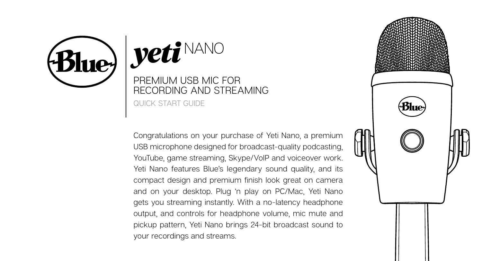

PREMIUM USB MIC FOR RECORDING AND STREAMING QUICK START GUIDE

Congratulations on your purchase of Yeti Nano, a premium USB microphone designed for broadcast-quality podcasting, YouTube, game streaming, Skype/VoIP and voiceover work. Yeti Nano features Blue's legendary sound quality, and its compact design and premium finish look great on camera and on your desktop. Plug 'n play on PC/Mac, Yeti Nano gets you streaming instantly. With a no-latency headphone output, and controls for headphone volume, mic mute and pickup pattern, Yeti Nano brings 24-bit broadcast sound to your recordings and streams.

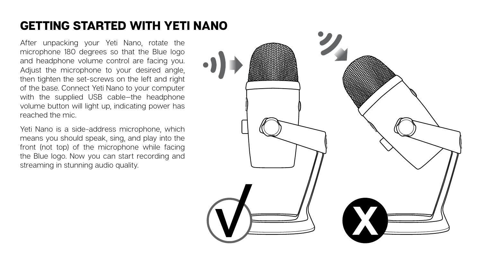# GETTING STARTED WITH YETI NANO

After unpacking your Yeti Nano, rotate the microphone 180 degrees so that the Blue logo and headphone volume control are facing you. Adjust the microphone to your desired angle, then tighten the set-screws on the left and right of the base. Connect Yeti Nano to your computer with the supplied USB cable—the headphone volume button will light up, indicating power has reached the mic.

Yeti Nano is a side-address microphone, which means you should speak, sing, and play into the front (not top) of the microphone while facing the Blue logo. Now you can start recording and streaming in stunning audio quality.

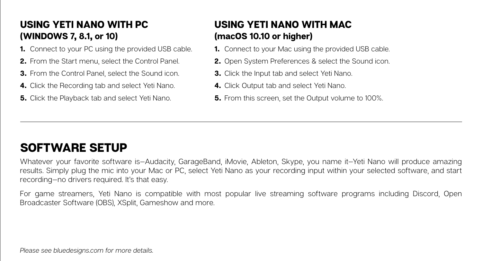## USING YETI NANO WITH PC (WINDOWS 7, 8.1, or 10)

- 1. Connect to your PC using the provided USB cable.
- 2. From the Start menu, select the Control Panel.
- 3. From the Control Panel, select the Sound icon.
- 4. Click the Recording tab and select Yeti Nano.
- 5. Click the Playback tab and select Yeti Nano.

### USING YETI NANO WITH MAC (macOS 10.10 or higher)

- 1. Connect to your Mac using the provided USB cable.
- 2. Open System Preferences & select the Sound icon.
- 3. Click the Input tab and select Yeti Nano.
- 4. Click Output tab and select Yeti Nano.
- 5. From this screen, set the Output volume to 100%.

# SOFTWARE SETUP

Whatever your favorite software is—Audacity, GarageBand, iMovie, Ableton, Skype, you name it—Yeti Nano will produce amazing results. Simply plug the mic into your Mac or PC, select Yeti Nano as your recording input within your selected software, and start recording—no drivers required. It's that easy.

For game streamers, Yeti Nano is compatible with most popular live streaming software programs including Discord, Open Broadcaster Software (OBS), XSplit, Gameshow and more.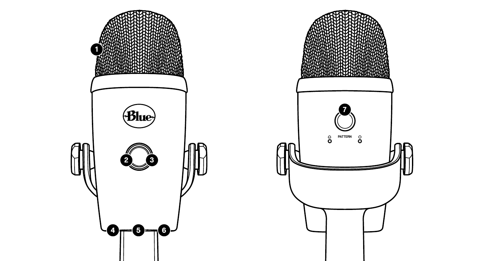

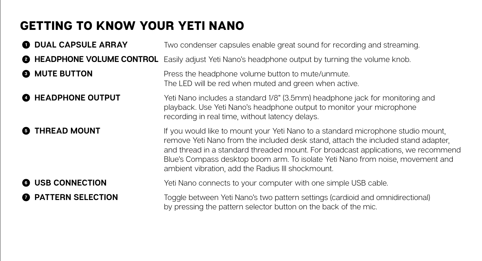# GETTING TO KNOW YOUR YETI NANO

|   | <b>O</b> DUAL CAPSULE ARRAY | Two condenser capsules enable great sound for recording and streaming.                                                                                                                                                                                                                                                                                                                            |
|---|-----------------------------|---------------------------------------------------------------------------------------------------------------------------------------------------------------------------------------------------------------------------------------------------------------------------------------------------------------------------------------------------------------------------------------------------|
|   |                             | <b>@ HEADPHONE VOLUME CONTROL</b> Easily adjust Yeti Nano's headphone output by turning the volume knob.                                                                                                                                                                                                                                                                                          |
|   | <b>@ MUTE BUTTON</b>        | Press the headphone volume button to mute/unmute.<br>The LED will be red when muted and green when active.                                                                                                                                                                                                                                                                                        |
|   | <b>O</b> HEADPHONE OUTPUT   | Yeti Nano includes a standard 1/8" (3.5mm) headphone jack for monitoring and<br>playback. Use Yeti Nano's headphone output to monitor your microphone<br>recording in real time, without latency delays.                                                                                                                                                                                          |
| 6 | <b>THREAD MOUNT</b>         | If you would like to mount your Yeti Nano to a standard microphone studio mount.<br>remove Yeti Nano from the included desk stand, attach the included stand adapter.<br>and thread in a standard threaded mount. For broadcast applications, we recommend<br>Blue's Compass desktop boom arm. To isolate Yeti Nano from noise, movement and<br>ambient vibration, add the Radius III shockmount. |
|   | <b>O</b> USB CONNECTION     | Yeti Nano connects to your computer with one simple USB cable.                                                                                                                                                                                                                                                                                                                                    |
|   | <b>O</b> PATTERN SELECTION  | Toggle between Yeti Nano's two pattern settings (cardioid and omnidirectional)<br>by pressing the pattern selector button on the back of the mic.                                                                                                                                                                                                                                                 |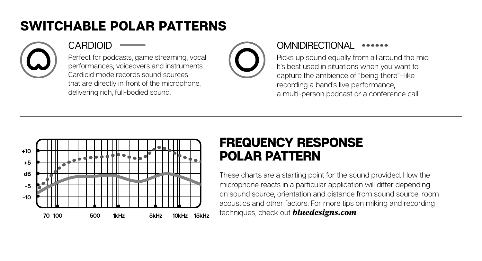# SWITCHABLE POLAR PATTERNS



#### CARDIOID

Perfect for podcasts, game streaming, vocal performances, voiceovers and instruments. Cardioid mode records sound sources that are directly in front of the microphone, delivering rich, full-bodied sound.



#### OMNIDIRECTIONAL \*\*\*\*\*\*

Picks up sound equally from all around the mic. It's best used in situations when you want to capture the ambience of "being there"—like recording a band's live performance, a multi-person podcast or a conference call.



## FREQUENCY RESPONSE POLAR PATTERN

These charts are a starting point for the sound provided. How the microphone reacts in a particular application will differ depending on sound source, orientation and distance from sound source, room acoustics and other factors. For more tips on miking and recording techniques, check out *bluedesigns.com*.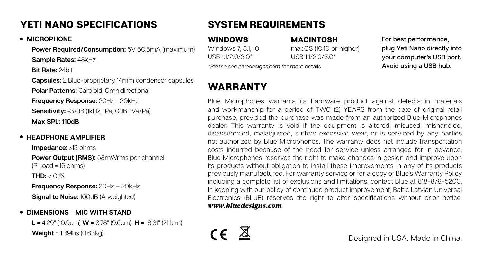## YETI NANO SPECIFICATIONS SYSTEM REQUIREMENTS

#### **• MICROPHONE**

**Power Required/Consumption: 5V 50.5mA (maximum) Sample Rates:** 48kHz

**Bit Rate:** 24bit

**Capsules:** 2 Blue-proprietary 14mm condenser capsules **Polar Patterns: Cardioid, Omnidirectional Frequency Response:** 20Hz - 20kHz

**Sensitivity:** -37dB (1kHz, 1Pa, 0dB=1Va/Pa) **Max SPL: 110dB**

#### **HEADPHONE AMPLIFIER**

**Impedance:** >13 ohms

**Power Output (RMS):** 58mWrms per channel (R Load = 16 ohms)

**THD:** < 0.1%

**Frequency Response:** 20Hz – 20kHz **Signal to Noise: 100dB (A weighted)** 

#### **DIMENSIONS - MIC WITH STAND**

**L =** 4.29" (10.9cm) **W =** 3.78" (9.6cm) **H =** 8.31" (21.1cm) **Weight =** 1.39lbs (0.63kg)

#### WINDOWS

Windows 7, 8.1, 10 USB 1.1/2.0/3.0\*

USB 1.1/2.0/3.0\*

\*Please see bluedesigns.com for more details **Avoid using a USB hub.**

## WARRANTY

**MACINTOSH** macOS (10.10 or higher) **For best performance, plug Yeti Nano directly into your computer's USB port.** 

Blue Microphones warrants its hardware product against defects in materials and workmanship for a period of TWO (2) YEARS from the date of original retail purchase, provided the purchase was made from an authorized Blue Microphones dealer. This warranty is void if the equipment is altered, misused, mishandled, disassembled, maladjusted, suffers excessive wear, or is serviced by any parties not authorized by Blue Microphones. The warranty does not include transportation costs incurred because of the need for service unless arranged for in advance. Blue Microphones reserves the right to make changes in design and improve upon its products without obligation to install these improvements in any of its products previously manufactured. For warranty service or for a copy of Blue's Warranty Policy including a complete list of exclusions and limitations, contact Blue at 818-879-5200. In keeping with our policy of continued product improvement, Baltic Latvian Universal Electronics (BLUE) reserves the right to alter specifications without prior notice. *www.bluedesigns.com*

ᢂ C E I